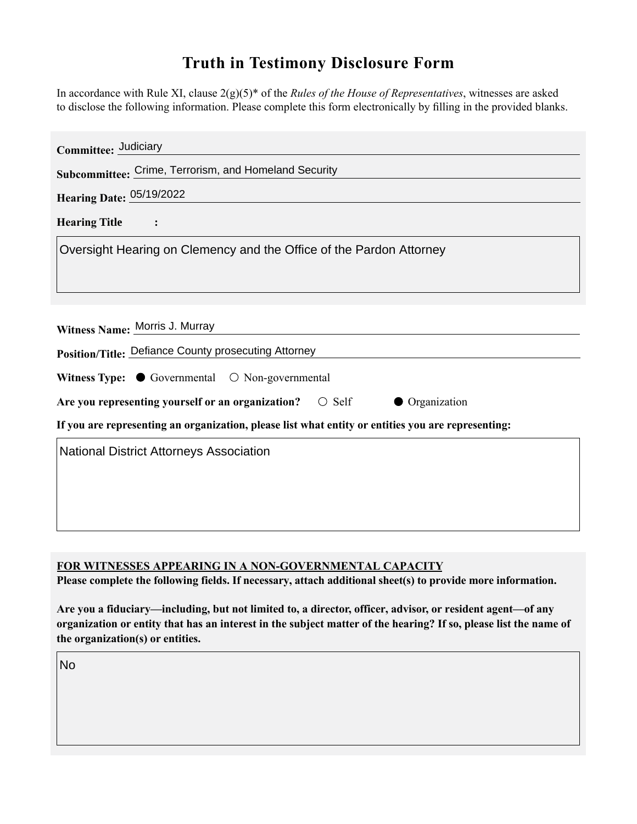## **Truth in Testimony Disclosure Form**

In accordance with Rule XI, clause 2(g)(5)\* of the *Rules of the House of Representatives*, witnesses are asked to disclose the following information. Please complete this form electronically by filling in the provided blanks.

| Committee: Judiciary                                                                               |
|----------------------------------------------------------------------------------------------------|
| Subcommittee: Crime, Terrorism, and Homeland Security                                              |
| Hearing Date: 05/19/2022                                                                           |
| <b>Hearing Title</b><br>$\sim$ :                                                                   |
| Oversight Hearing on Clemency and the Office of the Pardon Attorney                                |
|                                                                                                    |
|                                                                                                    |
| Witness Name: Morris J. Murray                                                                     |
| Position/Title: Defiance County prosecuting Attorney                                               |
| Witness Type: $\bullet$ Governmental $\circ$ Non-governmental                                      |
| Are you representing yourself or an organization? $\circ$ Self<br>• Organization                   |
| If you are representing an organization, please list what entity or entities you are representing: |
| <b>National District Attorneys Association</b>                                                     |
|                                                                                                    |
|                                                                                                    |
|                                                                                                    |

**FOR WITNESSES APPEARING IN A NON-GOVERNMENTAL CAPACITY**

**Please complete the following fields. If necessary, attach additional sheet(s) to provide more information.**

**Are you a fiduciary—including, but not limited to, a director, officer, advisor, or resident agent—of any organization or entity that has an interest in the subject matter of the hearing? If so, please list the name of the organization(s) or entities.**

No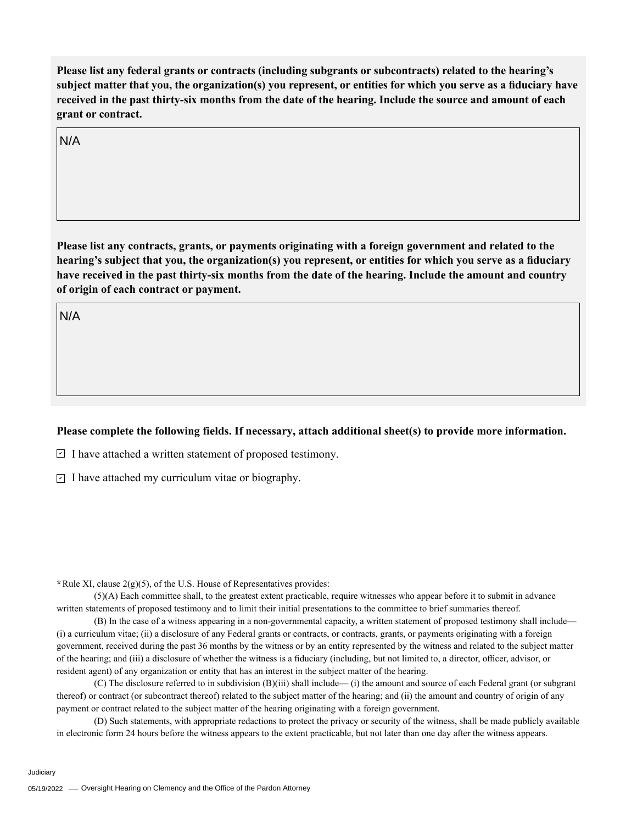**Please list any federal grants or contracts (including subgrants or subcontracts) related to the hearing's subject matter that you, the organization(s) you represent, or entities for which you serve as a fiduciary have received in the past thirty-six months from the date of the hearing. Include the source and amount of each grant or contract.** 

N/A

**Please list any contracts, grants, or payments originating with a foreign government and related to the hearing's subject that you, the organization(s) you represent, or entities for which you serve as a fiduciary have received in the past thirty-six months from the date of the hearing. Include the amount and country of origin of each contract or payment.** 

N/A

## **Please complete the following fields. If necessary, attach additional sheet(s) to provide more information.**

 $\exists$  I have attached a written statement of proposed testimony.

 $\subseteq$  I have attached my curriculum vitae or biography.

**\***Rule XI, clause 2(g)(5), of the U.S. House of Representatives provides:

(5)(A) Each committee shall, to the greatest extent practicable, require witnesses who appear before it to submit in advance written statements of proposed testimony and to limit their initial presentations to the committee to brief summaries thereof.

(B) In the case of a witness appearing in a non-governmental capacity, a written statement of proposed testimony shall include— (i) a curriculum vitae; (ii) a disclosure of any Federal grants or contracts, or contracts, grants, or payments originating with a foreign government, received during the past 36 months by the witness or by an entity represented by the witness and related to the subject matter of the hearing; and (iii) a disclosure of whether the witness is a fiduciary (including, but not limited to, a director, officer, advisor, or resident agent) of any organization or entity that has an interest in the subject matter of the hearing.

(C) The disclosure referred to in subdivision (B)(iii) shall include— (i) the amount and source of each Federal grant (or subgrant thereof) or contract (or subcontract thereof) related to the subject matter of the hearing; and (ii) the amount and country of origin of any payment or contract related to the subject matter of the hearing originating with a foreign government.

(D) Such statements, with appropriate redactions to protect the privacy or security of the witness, shall be made publicly available in electronic form 24 hours before the witness appears to the extent practicable, but not later than one day after the witness appears.

Judiciary